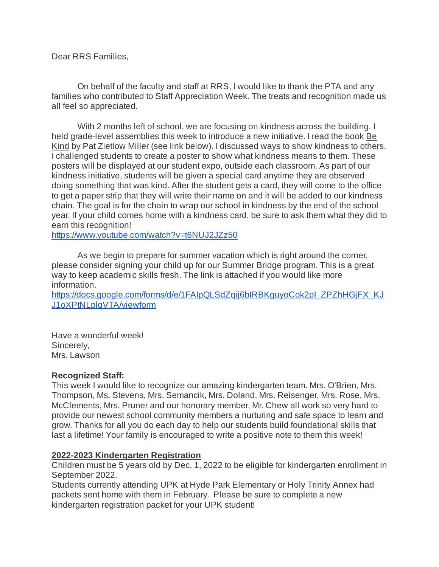Dear RRS Families,

On behalf of the faculty and staff at RRS, I would like to thank the PTA and any families who contributed to Staff Appreciation Week. The treats and recognition made us all feel so appreciated.

With 2 months left of school, we are focusing on kindness across the building. I held grade-level assemblies this week to introduce a new initiative. I read the book Be Kind by Pat Zietlow Miller (see link below). I discussed ways to show kindness to others. I challenged students to create a poster to show what kindness means to them. These posters will be displayed at our student expo, outside each classroom. As part of our kindness initiative, students will be given a special card anytime they are observed doing something that was kind. After the student gets a card, they will come to the office to get a paper strip that they will write their name on and it will be added to our kindness chain. The goal is for the chain to wrap our school in kindness by the end of the school year. If your child comes home with a kindness card, be sure to ask them what they did to earn this recognition!

[https://www.youtube.com/watch?v=t6NUJ2JZz50](http://email-link.parentsquare.com/ls/click?upn=oq5wnnHoD1NAxpT8rNAGXNtM3awZd-2BfRvauw3RtVgPzAZ-2BcPZqwT0B2BJ0oPFI-2FKVqfR9i9kAbrgTgBCuGb6uQ-3D-3DVcr7_jrUqf5zwH7FzSx1F7hMR76cP5eymrOzXwwtFg4ull6Bi37qDjAfpS76LMnZX9YbMoViV8w0gSAdXcndIhBr2HTY7vt3nLjcYOZam4nLpZ598bZIQ4z5kgtjaksM4QK0aEDXPlwS-2FO1TaFHwDfi1LdXsX-2F3Kofbweb1-2FGVpEo79hFGs-2BDUCyEyacfMpD9WlKchEY3-2FNU2Y8DFX-2FkGCK40m2gxKfFMLgzAsPzmujKxfaFi5dqlHXNbsyT5VkHbBJqJ8UhGfFhnfvehDMxcVTYSY2qvb5I8bCyO3c9sA8GHAnM-3D)

As we begin to prepare for summer vacation which is right around the corner, please consider signing your child up for our Summer Bridge program. This is a great way to keep academic skills fresh. The link is attached if you would like more information.

[https://docs.google.com/forms/d/e/1FAIpQLSdZqij6bIRBKguyoCok2pI\\_ZPZhHGjFX\\_KJ](http://email-link.parentsquare.com/ls/click?upn=HU5K2q0Fz5ADTGboxPzOzc-2FmDrLeRPv-2F5f6cytuJSxI0trpBiz9UDAwo-2Bcb69f-2Bouxo3v6CF1-2Bvr5L7mduhJNnu5sB3dQSzMrK9wTyj0GQTBCQMaA-2BK8-2Fzf2QH6OcpYIDxG-2Fi76Nh5WS8D6hWn7LnQ-3D-3DCzdG_jrUqf5zwH7FzSx1F7hMR76cP5eymrOzXwwtFg4ull6Bi37qDjAfpS76LMnZX9YbMoViV8w0gSAdXcndIhBr2HTY7vt3nLjcYOZam4nLpZ598bZIQ4z5kgtjaksM4QK0aEDXPlwS-2FO1TaFHwDfi1Ldcnpy90fSDMmZguIuivq9nfYWUefmysj-2F4QJFhqXSdfzYgPqZMfy1iw6N8yhlQJ9LhDMSaL5fYpmy5pFQQUT2U8ZjGPyjkIfhGEybNfaTasUGGhiOl1fI-2FcIfTktm7JU5O4uM3F8MyYmAM8Zje9hBxk-3D) [J1oXPtNLplqVTA/viewform](http://email-link.parentsquare.com/ls/click?upn=HU5K2q0Fz5ADTGboxPzOzc-2FmDrLeRPv-2F5f6cytuJSxI0trpBiz9UDAwo-2Bcb69f-2Bouxo3v6CF1-2Bvr5L7mduhJNnu5sB3dQSzMrK9wTyj0GQTBCQMaA-2BK8-2Fzf2QH6OcpYIDxG-2Fi76Nh5WS8D6hWn7LnQ-3D-3DCzdG_jrUqf5zwH7FzSx1F7hMR76cP5eymrOzXwwtFg4ull6Bi37qDjAfpS76LMnZX9YbMoViV8w0gSAdXcndIhBr2HTY7vt3nLjcYOZam4nLpZ598bZIQ4z5kgtjaksM4QK0aEDXPlwS-2FO1TaFHwDfi1Ldcnpy90fSDMmZguIuivq9nfYWUefmysj-2F4QJFhqXSdfzYgPqZMfy1iw6N8yhlQJ9LhDMSaL5fYpmy5pFQQUT2U8ZjGPyjkIfhGEybNfaTasUGGhiOl1fI-2FcIfTktm7JU5O4uM3F8MyYmAM8Zje9hBxk-3D)

Have a wonderful week! Sincerely, Mrs. Lawson

## **Recognized Staff:**

This week I would like to recognize our amazing kindergarten team. Mrs. O'Brien, Mrs. Thompson, Ms. Stevens, Mrs. Semancik, Mrs. Doland, Mrs. Reisenger, Mrs. Rose, Mrs. McClements, Mrs. Pruner and our honorary member, Mr. Chew all work so very hard to provide our newest school community members a nurturing and safe space to learn and grow. Thanks for all you do each day to help our students build foundational skills that last a lifetime! Your family is encouraged to write a positive note to them this week!

## **2022-2023 Kindergarten Registration**

Children must be 5 years old by Dec. 1, 2022 to be eligible for kindergarten enrollment in September 2022.

Students currently attending UPK at Hyde Park Elementary or Holy Trinity Annex had packets sent home with them in February. Please be sure to complete a new kindergarten registration packet for your UPK student!